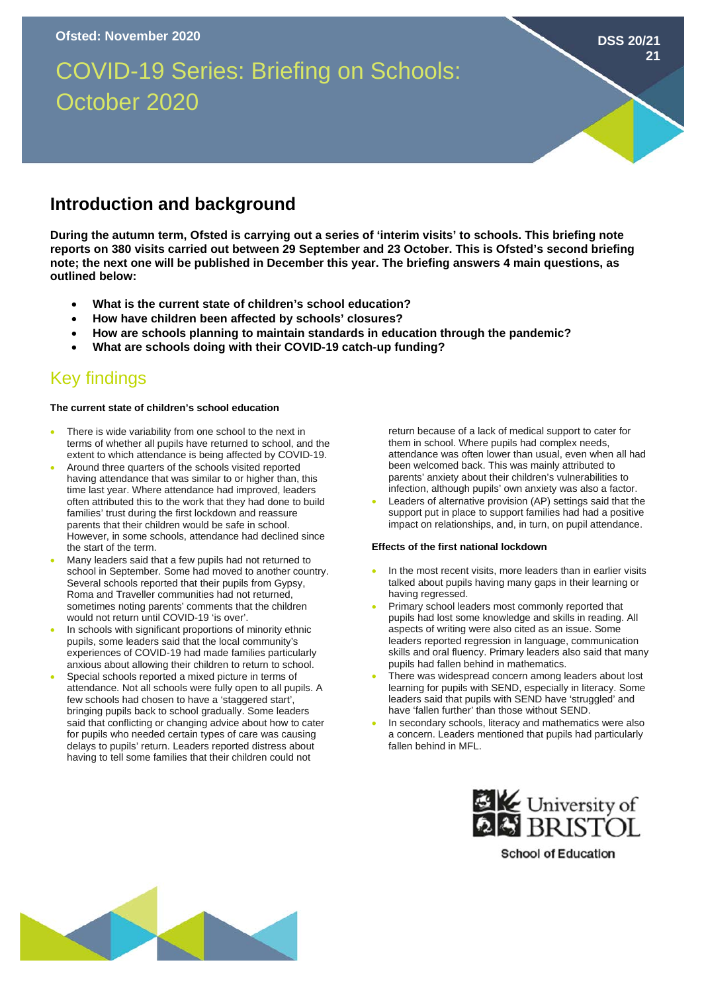# COVID-19 Series: Briefing on Schools: October 2020

# **Introduction and background**

**During the autumn term, Ofsted is carrying out a series of 'interim visits' to schools. This briefing note reports on 380 visits carried out between 29 September and 23 October. This is Ofsted's second briefing note; the next one will be published in December this year. The briefing answers 4 main questions, as outlined below:** 

- **What is the current state of children's school education?**
- **How have children been affected by schools' closures?**
- **How are schools planning to maintain standards in education through the pandemic?**
- **What are schools doing with their COVID-19 catch-up funding?**

# Key findings

#### **The current state of children's school education**

- There is wide variability from one school to the next in terms of whether all pupils have returned to school, and the extent to which attendance is being affected by COVID-19.
- Around three quarters of the schools visited reported having attendance that was similar to or higher than, this time last year. Where attendance had improved, leaders often attributed this to the work that they had done to build families' trust during the first lockdown and reassure parents that their children would be safe in school. However, in some schools, attendance had declined since the start of the term.
- Many leaders said that a few pupils had not returned to school in September. Some had moved to another country. Several schools reported that their pupils from Gypsy, Roma and Traveller communities had not returned, sometimes noting parents' comments that the children would not return until COVID-19 'is over'.
- In schools with significant proportions of minority ethnic pupils, some leaders said that the local community's experiences of COVID-19 had made families particularly anxious about allowing their children to return to school.
- Special schools reported a mixed picture in terms of attendance. Not all schools were fully open to all pupils. A few schools had chosen to have a 'staggered start', bringing pupils back to school gradually. Some leaders said that conflicting or changing advice about how to cater for pupils who needed certain types of care was causing delays to pupils' return. Leaders reported distress about having to tell some families that their children could not

return because of a lack of medical support to cater for them in school. Where pupils had complex needs, attendance was often lower than usual, even when all had been welcomed back. This was mainly attributed to parents' anxiety about their children's vulnerabilities to infection, although pupils' own anxiety was also a factor.

**DSS 20/21**

**21**

Leaders of alternative provision (AP) settings said that the support put in place to support families had had a positive impact on relationships, and, in turn, on pupil attendance.

#### **Effects of the first national lockdown**

- In the most recent visits, more leaders than in earlier visits talked about pupils having many gaps in their learning or having regressed.
- Primary school leaders most commonly reported that pupils had lost some knowledge and skills in reading. All aspects of writing were also cited as an issue. Some leaders reported regression in language, communication skills and oral fluency. Primary leaders also said that many pupils had fallen behind in mathematics.
- There was widespread concern among leaders about lost learning for pupils with SEND, especially in literacy. Some leaders said that pupils with SEND have 'struggled' and have 'fallen further' than those without SEND.
- In secondary schools, literacy and mathematics were also a concern. Leaders mentioned that pupils had particularly fallen behind in MFL.



**School of Education**